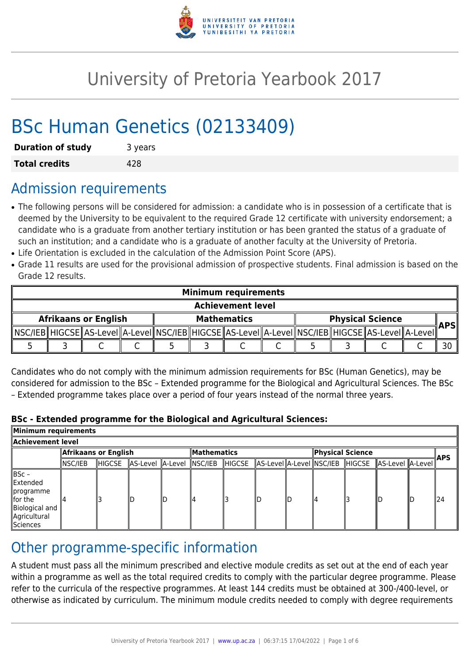

# University of Pretoria Yearbook 2017

# BSc Human Genetics (02133409)

| <b>Duration of study</b> | 3 years |
|--------------------------|---------|
| <b>Total credits</b>     | 428     |

# Admission requirements

- The following persons will be considered for admission: a candidate who is in possession of a certificate that is deemed by the University to be equivalent to the required Grade 12 certificate with university endorsement; a candidate who is a graduate from another tertiary institution or has been granted the status of a graduate of such an institution; and a candidate who is a graduate of another faculty at the University of Pretoria.
- Life Orientation is excluded in the calculation of the Admission Point Score (APS).
- Grade 11 results are used for the provisional admission of prospective students. Final admission is based on the Grade 12 results.

| <b>Minimum requirements</b> |  |  |  |                    |  |                                                                                                      |  |                         |  |  |  |            |
|-----------------------------|--|--|--|--------------------|--|------------------------------------------------------------------------------------------------------|--|-------------------------|--|--|--|------------|
| <b>Achievement level</b>    |  |  |  |                    |  |                                                                                                      |  |                         |  |  |  |            |
| <b>Afrikaans or English</b> |  |  |  | <b>Mathematics</b> |  |                                                                                                      |  | <b>Physical Science</b> |  |  |  |            |
|                             |  |  |  |                    |  | _MSC/IEB_HIGCSE_AS-LeveI_A-LeveI_NSC/IEB_HIGCSE_AS-LeveI_A-LeveI_NSC/IEB_HIGCSE_AS-LeveI_A-LeveI_MS- |  |                         |  |  |  | <b>APS</b> |
|                             |  |  |  |                    |  |                                                                                                      |  |                         |  |  |  |            |

Candidates who do not comply with the minimum admission requirements for BSc (Human Genetics), may be considered for admission to the BSc – Extended programme for the Biological and Agricultural Sciences. The BSc – Extended programme takes place over a period of four years instead of the normal three years.

### **BSc - Extended programme for the Biological and Agricultural Sciences:**

| Minimum requirements                                                                        |                      |        |                          |    |                    |         |  |  |                  |  |                                                  |  |            |
|---------------------------------------------------------------------------------------------|----------------------|--------|--------------------------|----|--------------------|---------|--|--|------------------|--|--------------------------------------------------|--|------------|
| Achievement level                                                                           |                      |        |                          |    |                    |         |  |  |                  |  |                                                  |  |            |
|                                                                                             | Afrikaans or English |        |                          |    | <b>Mathematics</b> |         |  |  | Physical Science |  |                                                  |  |            |
|                                                                                             | NSC/IEB              | HIGCSE | AS-Level A-Level NSC/IEB |    |                    | ∥HIGCSE |  |  |                  |  | AS-Level A-Level NSC/IEB HIGCSE AS-Level A-Level |  | <b>APS</b> |
| ∥BSc –<br>Extended<br>∥programme<br>llfor the<br>Biological and<br>Agricultural<br>Sciences |                      |        | ID                       | lD | 4                  |         |  |  |                  |  |                                                  |  | 124        |

# Other programme-specific information

A student must pass all the minimum prescribed and elective module credits as set out at the end of each year within a programme as well as the total required credits to comply with the particular degree programme. Please refer to the curricula of the respective programmes. At least 144 credits must be obtained at 300-/400-level, or otherwise as indicated by curriculum. The minimum module credits needed to comply with degree requirements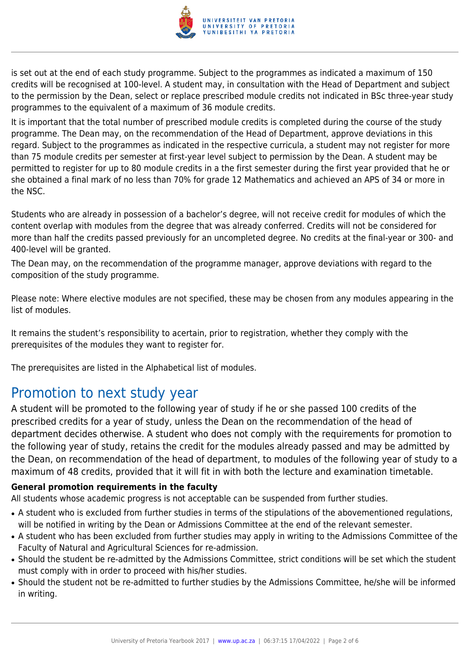

is set out at the end of each study programme. Subject to the programmes as indicated a maximum of 150 credits will be recognised at 100-level. A student may, in consultation with the Head of Department and subject to the permission by the Dean, select or replace prescribed module credits not indicated in BSc three-year study programmes to the equivalent of a maximum of 36 module credits.

It is important that the total number of prescribed module credits is completed during the course of the study programme. The Dean may, on the recommendation of the Head of Department, approve deviations in this regard. Subject to the programmes as indicated in the respective curricula, a student may not register for more than 75 module credits per semester at first-year level subject to permission by the Dean. A student may be permitted to register for up to 80 module credits in a the first semester during the first year provided that he or she obtained a final mark of no less than 70% for grade 12 Mathematics and achieved an APS of 34 or more in the NSC.

Students who are already in possession of a bachelor's degree, will not receive credit for modules of which the content overlap with modules from the degree that was already conferred. Credits will not be considered for more than half the credits passed previously for an uncompleted degree. No credits at the final-year or 300- and 400-level will be granted.

The Dean may, on the recommendation of the programme manager, approve deviations with regard to the composition of the study programme.

Please note: Where elective modules are not specified, these may be chosen from any modules appearing in the list of modules.

It remains the student's responsibility to acertain, prior to registration, whether they comply with the prerequisites of the modules they want to register for.

The prerequisites are listed in the Alphabetical list of modules.

# Promotion to next study year

A student will be promoted to the following year of study if he or she passed 100 credits of the prescribed credits for a year of study, unless the Dean on the recommendation of the head of department decides otherwise. A student who does not comply with the requirements for promotion to the following year of study, retains the credit for the modules already passed and may be admitted by the Dean, on recommendation of the head of department, to modules of the following year of study to a maximum of 48 credits, provided that it will fit in with both the lecture and examination timetable.

### **General promotion requirements in the faculty**

All students whose academic progress is not acceptable can be suspended from further studies.

- A student who is excluded from further studies in terms of the stipulations of the abovementioned regulations, will be notified in writing by the Dean or Admissions Committee at the end of the relevant semester.
- A student who has been excluded from further studies may apply in writing to the Admissions Committee of the Faculty of Natural and Agricultural Sciences for re-admission.
- Should the student be re-admitted by the Admissions Committee, strict conditions will be set which the student must comply with in order to proceed with his/her studies.
- Should the student not be re-admitted to further studies by the Admissions Committee, he/she will be informed in writing.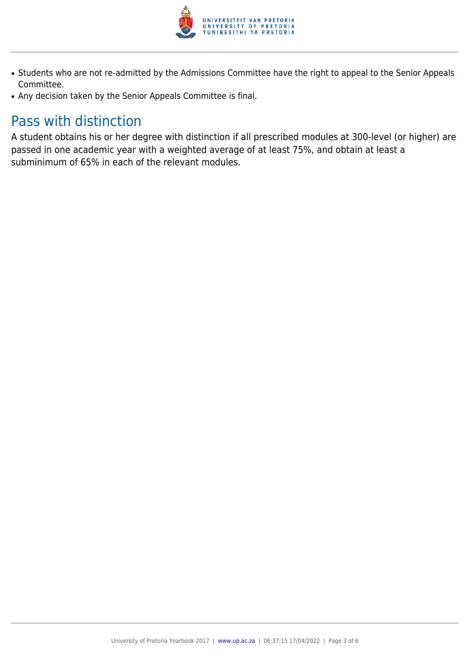

- Students who are not re-admitted by the Admissions Committee have the right to appeal to the Senior Appeals Committee.
- Any decision taken by the Senior Appeals Committee is final.

# Pass with distinction

A student obtains his or her degree with distinction if all prescribed modules at 300-level (or higher) are passed in one academic year with a weighted average of at least 75%, and obtain at least a subminimum of 65% in each of the relevant modules.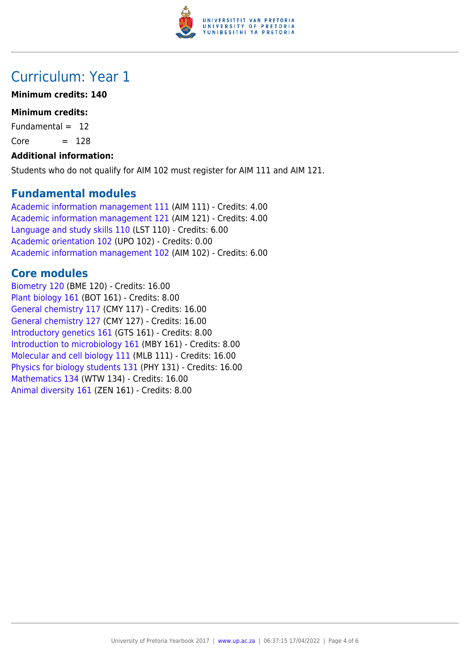

# Curriculum: Year 1

### **Minimum credits: 140**

### **Minimum credits:**

Fundamental  $= 12$ 

 $Core = 128$ 

### **Additional information:**

Students who do not qualify for AIM 102 must register for AIM 111 and AIM 121.

## **Fundamental modules**

[Academic information management 111](https://www.up.ac.za/parents/yearbooks/2017/modules/view/AIM 111) (AIM 111) - Credits: 4.00 [Academic information management 121](https://www.up.ac.za/parents/yearbooks/2017/modules/view/AIM 121) (AIM 121) - Credits: 4.00 [Language and study skills 110](https://www.up.ac.za/parents/yearbooks/2017/modules/view/LST 110) (LST 110) - Credits: 6.00 [Academic orientation 102](https://www.up.ac.za/parents/yearbooks/2017/modules/view/UPO 102) (UPO 102) - Credits: 0.00 [Academic information management 102](https://www.up.ac.za/parents/yearbooks/2017/modules/view/AIM 102) (AIM 102) - Credits: 6.00

# **Core modules**

[Biometry 120](https://www.up.ac.za/parents/yearbooks/2017/modules/view/BME 120) (BME 120) - Credits: 16.00 [Plant biology 161](https://www.up.ac.za/parents/yearbooks/2017/modules/view/BOT 161) (BOT 161) - Credits: 8.00 [General chemistry 117](https://www.up.ac.za/parents/yearbooks/2017/modules/view/CMY 117) (CMY 117) - Credits: 16.00 [General chemistry 127](https://www.up.ac.za/parents/yearbooks/2017/modules/view/CMY 127) (CMY 127) - Credits: 16.00 [Introductory genetics 161](https://www.up.ac.za/parents/yearbooks/2017/modules/view/GTS 161) (GTS 161) - Credits: 8.00 [Introduction to microbiology 161](https://www.up.ac.za/parents/yearbooks/2017/modules/view/MBY 161) (MBY 161) - Credits: 8.00 [Molecular and cell biology 111](https://www.up.ac.za/parents/yearbooks/2017/modules/view/MLB 111) (MLB 111) - Credits: 16.00 [Physics for biology students 131](https://www.up.ac.za/parents/yearbooks/2017/modules/view/PHY 131) (PHY 131) - Credits: 16.00 [Mathematics 134](https://www.up.ac.za/parents/yearbooks/2017/modules/view/WTW 134) (WTW 134) - Credits: 16.00 [Animal diversity 161](https://www.up.ac.za/parents/yearbooks/2017/modules/view/ZEN 161) (ZEN 161) - Credits: 8.00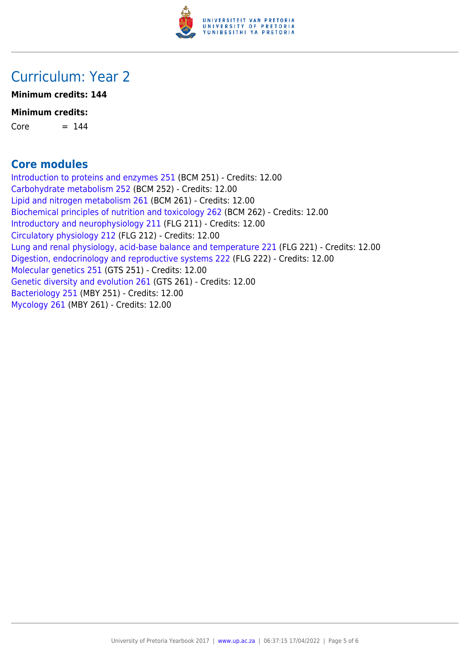

# Curriculum: Year 2

**Minimum credits: 144**

### **Minimum credits:**

 $Core = 144$ 

# **Core modules**

[Introduction to proteins and enzymes 251](https://www.up.ac.za/parents/yearbooks/2017/modules/view/BCM 251) (BCM 251) - Credits: 12.00 [Carbohydrate metabolism 252](https://www.up.ac.za/parents/yearbooks/2017/modules/view/BCM 252) (BCM 252) - Credits: 12.00 [Lipid and nitrogen metabolism 261](https://www.up.ac.za/parents/yearbooks/2017/modules/view/BCM 261) (BCM 261) - Credits: 12.00 [Biochemical principles of nutrition and toxicology 262](https://www.up.ac.za/parents/yearbooks/2017/modules/view/BCM 262) (BCM 262) - Credits: 12.00 [Introductory and neurophysiology 211](https://www.up.ac.za/parents/yearbooks/2017/modules/view/FLG 211) (FLG 211) - Credits: 12.00 [Circulatory physiology 212](https://www.up.ac.za/parents/yearbooks/2017/modules/view/FLG 212) (FLG 212) - Credits: 12.00 [Lung and renal physiology, acid-base balance and temperature 221](https://www.up.ac.za/parents/yearbooks/2017/modules/view/FLG 221) (FLG 221) - Credits: 12.00 [Digestion, endocrinology and reproductive systems 222](https://www.up.ac.za/parents/yearbooks/2017/modules/view/FLG 222) (FLG 222) - Credits: 12.00 [Molecular genetics 251](https://www.up.ac.za/parents/yearbooks/2017/modules/view/GTS 251) (GTS 251) - Credits: 12.00 [Genetic diversity and evolution 261](https://www.up.ac.za/parents/yearbooks/2017/modules/view/GTS 261) (GTS 261) - Credits: 12.00 [Bacteriology 251](https://www.up.ac.za/parents/yearbooks/2017/modules/view/MBY 251) (MBY 251) - Credits: 12.00 [Mycology 261](https://www.up.ac.za/parents/yearbooks/2017/modules/view/MBY 261) (MBY 261) - Credits: 12.00